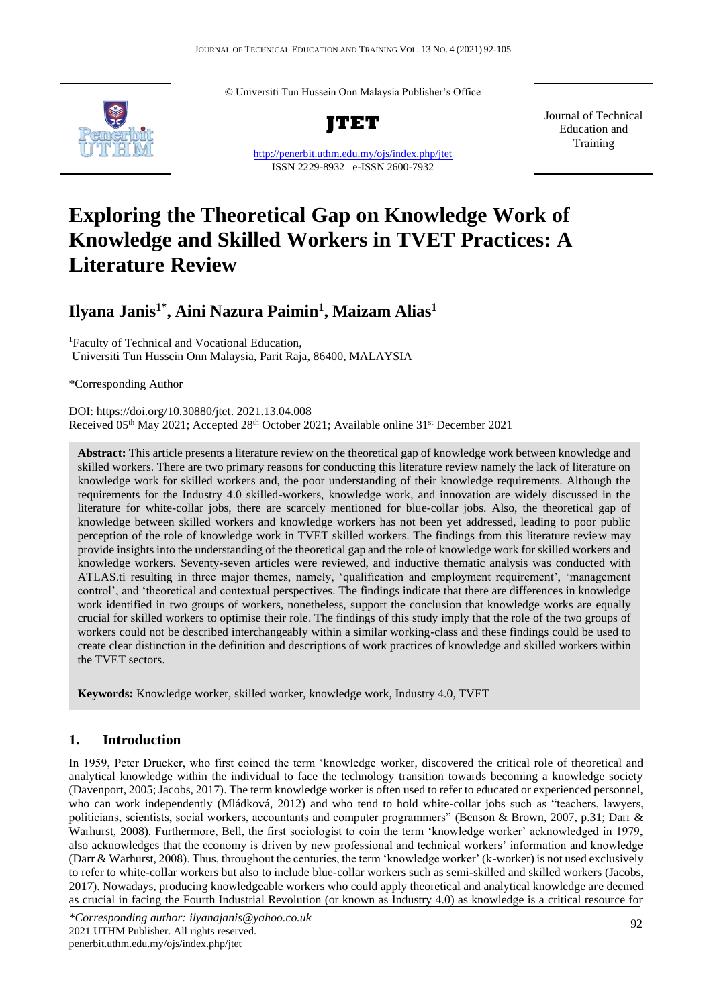© Universiti Tun Hussein Onn Malaysia Publisher's Office



**JTET**

<http://penerbit.uthm.edu.my/ojs/index.php/jtet> ISSN 2229-8932 e-ISSN 2600-7932

Journal of Technical Education and Training

# **Exploring the Theoretical Gap on Knowledge Work of Knowledge and Skilled Workers in TVET Practices: A Literature Review**

## **Ilyana Janis1\*, Aini Nazura Paimin<sup>1</sup> , Maizam Alias<sup>1</sup>**

<sup>1</sup>Faculty of Technical and Vocational Education, Universiti Tun Hussein Onn Malaysia, Parit Raja, 86400, MALAYSIA

\*Corresponding Author

DOI: https://doi.org/10.30880/jtet. 2021.13.04.008 Received 05th May 2021; Accepted 28th October 2021; Available online 31st December 2021

**Abstract:** This article presents a literature review on the theoretical gap of knowledge work between knowledge and skilled workers. There are two primary reasons for conducting this literature review namely the lack of literature on knowledge work for skilled workers and, the poor understanding of their knowledge requirements. Although the requirements for the Industry 4.0 skilled-workers, knowledge work, and innovation are widely discussed in the literature for white-collar jobs, there are scarcely mentioned for blue-collar jobs. Also, the theoretical gap of knowledge between skilled workers and knowledge workers has not been yet addressed, leading to poor public perception of the role of knowledge work in TVET skilled workers. The findings from this literature review may provide insights into the understanding of the theoretical gap and the role of knowledge work for skilled workers and knowledge workers. Seventy-seven articles were reviewed, and inductive thematic analysis was conducted with ATLAS.ti resulting in three major themes, namely, 'qualification and employment requirement', 'management control', and 'theoretical and contextual perspectives. The findings indicate that there are differences in knowledge work identified in two groups of workers, nonetheless, support the conclusion that knowledge works are equally crucial for skilled workers to optimise their role. The findings of this study imply that the role of the two groups of workers could not be described interchangeably within a similar working-class and these findings could be used to create clear distinction in the definition and descriptions of work practices of knowledge and skilled workers within the TVET sectors.

**Keywords:** Knowledge worker, skilled worker, knowledge work, Industry 4.0, TVET

### **1. Introduction**

In 1959, Peter Drucker, who first coined the term 'knowledge worker, discovered the critical role of theoretical and analytical knowledge within the individual to face the technology transition towards becoming a knowledge society (Davenport, 2005; Jacobs, 2017). The term knowledge worker is often used to refer to educated or experienced personnel, who can work independently (Mládková, 2012) and who tend to hold white-collar jobs such as "teachers, lawyers, politicians, scientists, social workers, accountants and computer programmers" (Benson & Brown, 2007, p.31; Darr & Warhurst, 2008). Furthermore, Bell, the first sociologist to coin the term 'knowledge worker' acknowledged in 1979, also acknowledges that the economy is driven by new professional and technical workers' information and knowledge (Darr & Warhurst, 2008). Thus, throughout the centuries, the term 'knowledge worker' (k-worker) is not used exclusively to refer to white-collar workers but also to include blue-collar workers such as semi-skilled and skilled workers (Jacobs, 2017). Nowadays, producing knowledgeable workers who could apply theoretical and analytical knowledge are deemed as crucial in facing the Fourth Industrial Revolution (or known as Industry 4.0) as knowledge is a critical resource for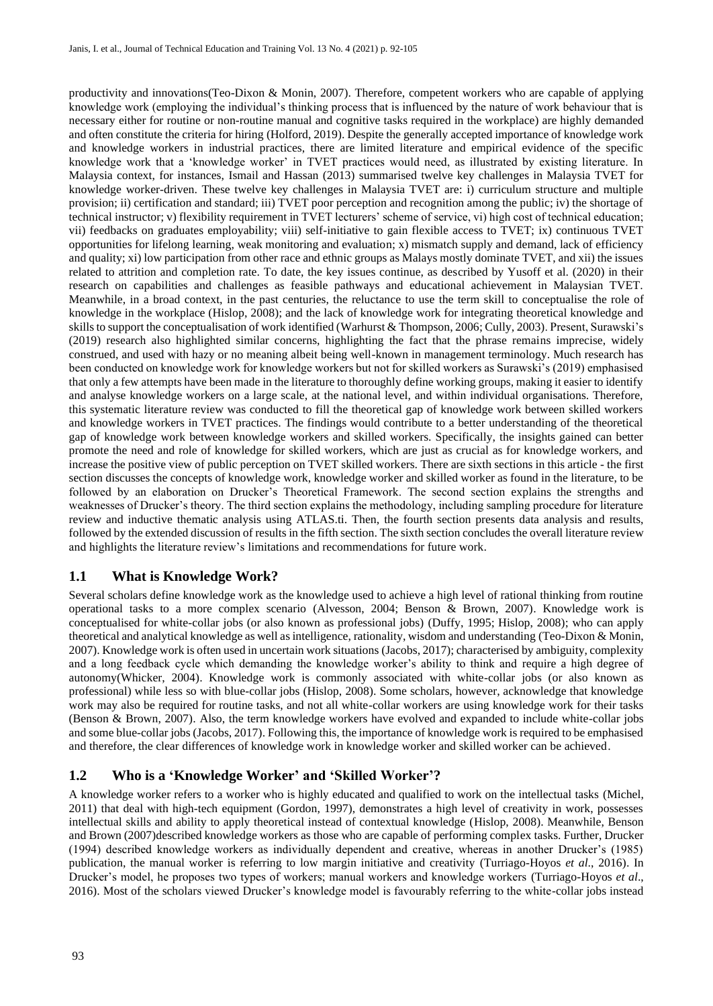productivity and innovations(Teo-Dixon & Monin, 2007). Therefore, competent workers who are capable of applying knowledge work (employing the individual's thinking process that is influenced by the nature of work behaviour that is necessary either for routine or non-routine manual and cognitive tasks required in the workplace) are highly demanded and often constitute the criteria for hiring (Holford, 2019). Despite the generally accepted importance of knowledge work and knowledge workers in industrial practices, there are limited literature and empirical evidence of the specific knowledge work that a 'knowledge worker' in TVET practices would need, as illustrated by existing literature. In Malaysia context, for instances, Ismail and Hassan (2013) summarised twelve key challenges in Malaysia TVET for knowledge worker-driven. These twelve key challenges in Malaysia TVET are: i) curriculum structure and multiple provision; ii) certification and standard; iii) TVET poor perception and recognition among the public; iv) the shortage of technical instructor; v) flexibility requirement in TVET lecturers' scheme of service, vi) high cost of technical education; vii) feedbacks on graduates employability; viii) self-initiative to gain flexible access to TVET; ix) continuous TVET opportunities for lifelong learning, weak monitoring and evaluation; x) mismatch supply and demand, lack of efficiency and quality; xi) low participation from other race and ethnic groups as Malays mostly dominate TVET, and xii) the issues related to attrition and completion rate. To date, the key issues continue, as described by Yusoff et al. (2020) in their research on capabilities and challenges as feasible pathways and educational achievement in Malaysian TVET. Meanwhile, in a broad context, in the past centuries, the reluctance to use the term skill to conceptualise the role of knowledge in the workplace (Hislop, 2008); and the lack of knowledge work for integrating theoretical knowledge and skills to support the conceptualisation of work identified (Warhurst & Thompson, 2006; Cully, 2003). Present, Surawski's (2019) research also highlighted similar concerns, highlighting the fact that the phrase remains imprecise, widely construed, and used with hazy or no meaning albeit being well-known in management terminology. Much research has been conducted on knowledge work for knowledge workers but not for skilled workers as Surawski's (2019) emphasised that only a few attempts have been made in the literature to thoroughly define working groups, making it easier to identify and analyse knowledge workers on a large scale, at the national level, and within individual organisations. Therefore, this systematic literature review was conducted to fill the theoretical gap of knowledge work between skilled workers and knowledge workers in TVET practices. The findings would contribute to a better understanding of the theoretical gap of knowledge work between knowledge workers and skilled workers. Specifically, the insights gained can better promote the need and role of knowledge for skilled workers, which are just as crucial as for knowledge workers, and increase the positive view of public perception on TVET skilled workers. There are sixth sections in this article - the first section discusses the concepts of knowledge work, knowledge worker and skilled worker as found in the literature, to be followed by an elaboration on Drucker's Theoretical Framework. The second section explains the strengths and weaknesses of Drucker's theory. The third section explains the methodology, including sampling procedure for literature review and inductive thematic analysis using ATLAS.ti. Then, the fourth section presents data analysis and results, followed by the extended discussion of results in the fifth section. The sixth section concludes the overall literature review and highlights the literature review's limitations and recommendations for future work.

### **1.1 What is Knowledge Work?**

Several scholars define knowledge work as the knowledge used to achieve a high level of rational thinking from routine operational tasks to a more complex scenario (Alvesson, 2004; Benson & Brown, 2007). Knowledge work is conceptualised for white-collar jobs (or also known as professional jobs) (Duffy, 1995; Hislop, 2008); who can apply theoretical and analytical knowledge as well as intelligence, rationality, wisdom and understanding (Teo-Dixon & Monin, 2007). Knowledge work is often used in uncertain work situations (Jacobs, 2017); characterised by ambiguity, complexity and a long feedback cycle which demanding the knowledge worker's ability to think and require a high degree of autonomy(Whicker, 2004). Knowledge work is commonly associated with white-collar jobs (or also known as professional) while less so with blue-collar jobs (Hislop, 2008). Some scholars, however, acknowledge that knowledge work may also be required for routine tasks, and not all white-collar workers are using knowledge work for their tasks (Benson & Brown, 2007). Also, the term knowledge workers have evolved and expanded to include white-collar jobs and some blue-collar jobs (Jacobs, 2017). Following this, the importance of knowledge work is required to be emphasised and therefore, the clear differences of knowledge work in knowledge worker and skilled worker can be achieved.

### **1.2 Who is a 'Knowledge Worker' and 'Skilled Worker'?**

A knowledge worker refers to a worker who is highly educated and qualified to work on the intellectual tasks (Michel, 2011) that deal with high-tech equipment (Gordon, 1997), demonstrates a high level of creativity in work, possesses intellectual skills and ability to apply theoretical instead of contextual knowledge (Hislop, 2008). Meanwhile, Benson and Brown (2007)described knowledge workers as those who are capable of performing complex tasks. Further, Drucker (1994) described knowledge workers as individually dependent and creative, whereas in another Drucker's (1985) publication, the manual worker is referring to low margin initiative and creativity (Turriago-Hoyos *et al*., 2016). In Drucker's model, he proposes two types of workers; manual workers and knowledge workers (Turriago-Hoyos *et al*., 2016). Most of the scholars viewed Drucker's knowledge model is favourably referring to the white-collar jobs instead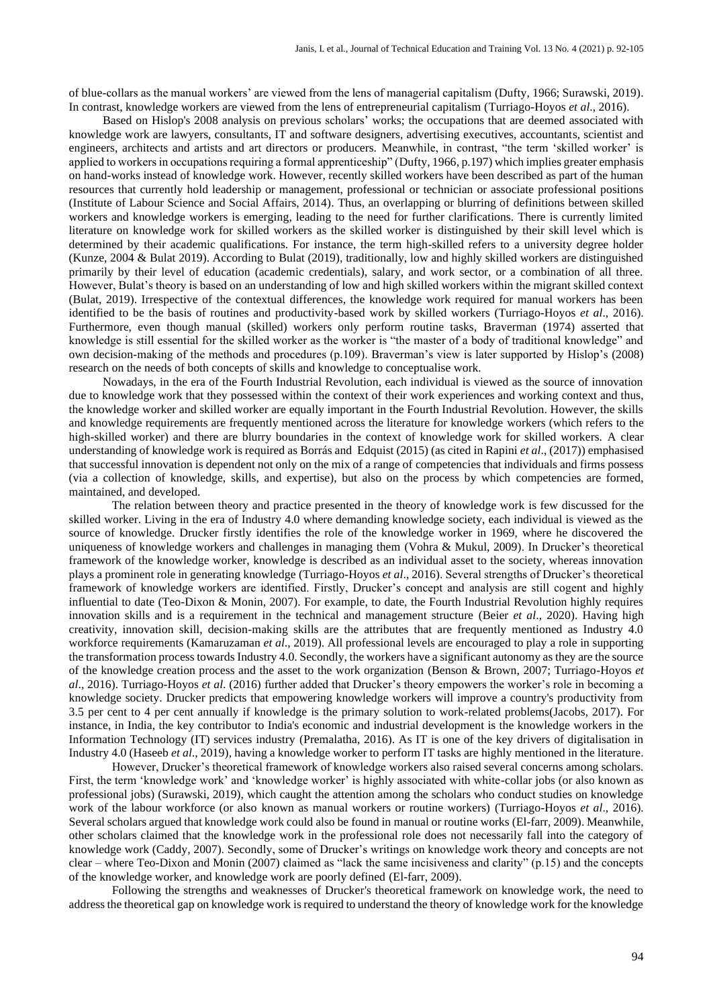of blue-collars as the manual workers' are viewed from the lens of managerial capitalism (Dufty, 1966; Surawski, 2019). In contrast, knowledge workers are viewed from the lens of entrepreneurial capitalism (Turriago-Hoyos *et al*., 2016).

Based on Hislop's 2008 analysis on previous scholars' works; the occupations that are deemed associated with knowledge work are lawyers, consultants, IT and software designers, advertising executives, accountants, scientist and engineers, architects and artists and art directors or producers. Meanwhile, in contrast, "the term 'skilled worker' is applied to workers in occupations requiring a formal apprenticeship" (Dufty, 1966, p.197) which implies greater emphasis on hand-works instead of knowledge work. However, recently skilled workers have been described as part of the human resources that currently hold leadership or management, professional or technician or associate professional positions (Institute of Labour Science and Social Affairs, 2014). Thus, an overlapping or blurring of definitions between skilled workers and knowledge workers is emerging, leading to the need for further clarifications. There is currently limited literature on knowledge work for skilled workers as the skilled worker is distinguished by their skill level which is determined by their academic qualifications. For instance, the term high-skilled refers to a university degree holder (Kunze, 2004 & Bulat 2019). According to Bulat (2019), traditionally, low and highly skilled workers are distinguished primarily by their level of education (academic credentials), salary, and work sector, or a combination of all three. However, Bulat's theory is based on an understanding of low and high skilled workers within the migrant skilled context (Bulat, 2019). Irrespective of the contextual differences, the knowledge work required for manual workers has been identified to be the basis of routines and productivity-based work by skilled workers (Turriago-Hoyos *et al*., 2016). Furthermore, even though manual (skilled) workers only perform routine tasks, Braverman (1974) asserted that knowledge is still essential for the skilled worker as the worker is "the master of a body of traditional knowledge" and own decision-making of the methods and procedures (p.109). Braverman's view is later supported by Hislop's (2008) research on the needs of both concepts of skills and knowledge to conceptualise work.

Nowadays, in the era of the Fourth Industrial Revolution, each individual is viewed as the source of innovation due to knowledge work that they possessed within the context of their work experiences and working context and thus, the knowledge worker and skilled worker are equally important in the Fourth Industrial Revolution. However, the skills and knowledge requirements are frequently mentioned across the literature for knowledge workers (which refers to the high-skilled worker) and there are blurry boundaries in the context of knowledge work for skilled workers. A clear understanding of knowledge work is required as Borrás and Edquist (2015) (as cited in Rapini *et al*., (2017)) emphasised that successful innovation is dependent not only on the mix of a range of competencies that individuals and firms possess (via a collection of knowledge, skills, and expertise), but also on the process by which competencies are formed, maintained, and developed.

The relation between theory and practice presented in the theory of knowledge work is few discussed for the skilled worker. Living in the era of Industry 4.0 where demanding knowledge society, each individual is viewed as the source of knowledge. Drucker firstly identifies the role of the knowledge worker in 1969, where he discovered the uniqueness of knowledge workers and challenges in managing them (Vohra & Mukul, 2009). In Drucker's theoretical framework of the knowledge worker, knowledge is described as an individual asset to the society, whereas innovation plays a prominent role in generating knowledge (Turriago-Hoyos *et al*., 2016). Several strengths of Drucker's theoretical framework of knowledge workers are identified. Firstly, Drucker's concept and analysis are still cogent and highly influential to date (Teo-Dixon & Monin, 2007). For example, to date, the Fourth Industrial Revolution highly requires innovation skills and is a requirement in the technical and management structure (Beier *et al*., 2020). Having high creativity, innovation skill, decision-making skills are the attributes that are frequently mentioned as Industry 4.0 workforce requirements (Kamaruzaman *et al*., 2019). All professional levels are encouraged to play a role in supporting the transformation process towards Industry 4.0. Secondly, the workers have a significant autonomy as they are the source of the knowledge creation process and the asset to the work organization (Benson & Brown, 2007; Turriago-Hoyos *et al*., 2016). Turriago-Hoyos *et al*. (2016) further added that Drucker's theory empowers the worker's role in becoming a knowledge society. Drucker predicts that empowering knowledge workers will improve a country's productivity from 3.5 per cent to 4 per cent annually if knowledge is the primary solution to work-related problems(Jacobs, 2017). For instance, in India, the key contributor to India's economic and industrial development is the knowledge workers in the Information Technology (IT) services industry (Premalatha, 2016). As IT is one of the key drivers of digitalisation in Industry 4.0 (Haseeb *et al*., 2019), having a knowledge worker to perform IT tasks are highly mentioned in the literature.

However, Drucker's theoretical framework of knowledge workers also raised several concerns among scholars. First, the term 'knowledge work' and 'knowledge worker' is highly associated with white-collar jobs (or also known as professional jobs) (Surawski, 2019), which caught the attention among the scholars who conduct studies on knowledge work of the labour workforce (or also known as manual workers or routine workers) (Turriago-Hoyos *et al*., 2016). Several scholars argued that knowledge work could also be found in manual or routine works (El-farr, 2009). Meanwhile, other scholars claimed that the knowledge work in the professional role does not necessarily fall into the category of knowledge work (Caddy, 2007). Secondly, some of Drucker's writings on knowledge work theory and concepts are not clear – where Teo-Dixon and Monin (2007) claimed as "lack the same incisiveness and clarity" (p.15) and the concepts of the knowledge worker, and knowledge work are poorly defined (El-farr, 2009).

Following the strengths and weaknesses of Drucker's theoretical framework on knowledge work, the need to address the theoretical gap on knowledge work is required to understand the theory of knowledge work for the knowledge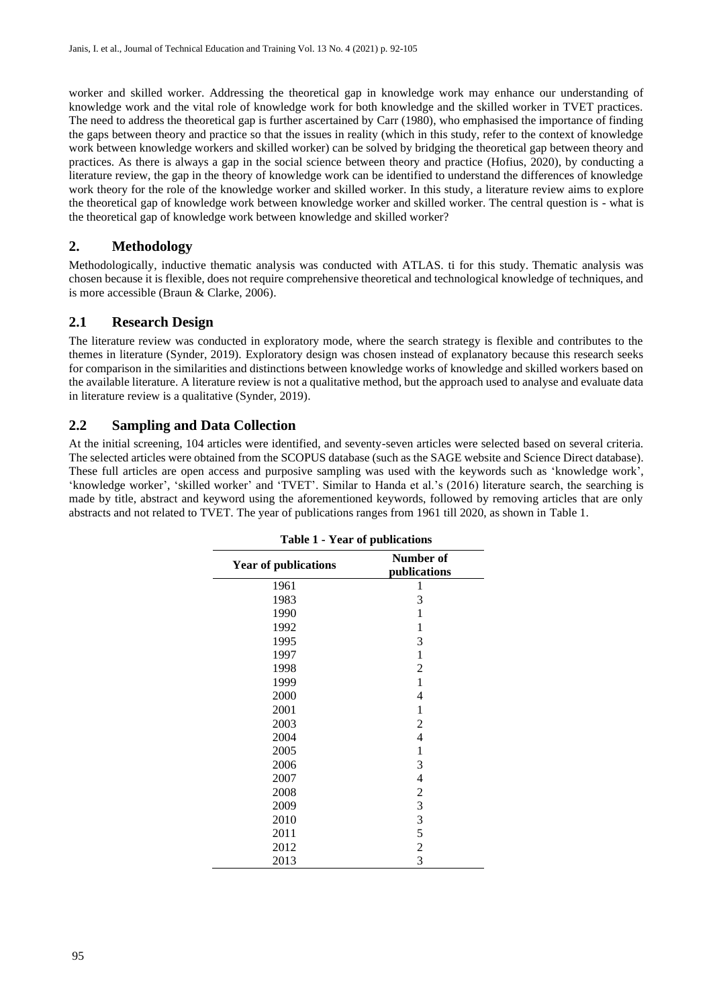worker and skilled worker. Addressing the theoretical gap in knowledge work may enhance our understanding of knowledge work and the vital role of knowledge work for both knowledge and the skilled worker in TVET practices. The need to address the theoretical gap is further ascertained by Carr (1980), who emphasised the importance of finding the gaps between theory and practice so that the issues in reality (which in this study, refer to the context of knowledge work between knowledge workers and skilled worker) can be solved by bridging the theoretical gap between theory and practices. As there is always a gap in the social science between theory and practice (Hofius, 2020), by conducting a literature review, the gap in the theory of knowledge work can be identified to understand the differences of knowledge work theory for the role of the knowledge worker and skilled worker. In this study, a literature review aims to explore the theoretical gap of knowledge work between knowledge worker and skilled worker. The central question is - what is the theoretical gap of knowledge work between knowledge and skilled worker?

### **2. Methodology**

Methodologically, inductive thematic analysis was conducted with ATLAS. ti for this study. Thematic analysis was chosen because it is flexible, does not require comprehensive theoretical and technological knowledge of techniques, and is more accessible (Braun & Clarke, 2006).

### **2.1 Research Design**

The literature review was conducted in exploratory mode, where the search strategy is flexible and contributes to the themes in literature (Synder, 2019). Exploratory design was chosen instead of explanatory because this research seeks for comparison in the similarities and distinctions between knowledge works of knowledge and skilled workers based on the available literature. A literature review is not a qualitative method, but the approach used to analyse and evaluate data in literature review is a qualitative (Synder, 2019).

### **2.2 Sampling and Data Collection**

<span id="page-3-0"></span>At the initial screening, 104 articles were identified, and seventy-seven articles were selected based on several criteria. The selected articles were obtained from the SCOPUS database (such as the SAGE website and Science Direct database). These full articles are open access and purposive sampling was used with the keywords such as 'knowledge work', 'knowledge worker', 'skilled worker' and 'TVET'. Similar to Handa et al.'s (2016) literature search, the searching is made by title, abstract and keyword using the aforementioned keywords, followed by removing articles that are only abstracts and not related to TVET. The year of publications ranges from 1961 till 2020, as shown in [Table 1.](#page-3-0)

| <b>Year of publications</b> | Number of<br>publications |
|-----------------------------|---------------------------|
| 1961                        | 1                         |
| 1983                        | 3                         |
| 1990                        | 1                         |
| 1992                        | 1                         |
| 1995                        | 3                         |
| 1997                        | 1                         |
| 1998                        | 2                         |
| 1999                        | 1                         |
| 2000                        | 4                         |
| 2001                        | 1                         |
| 2003                        | 2                         |
| 2004                        | 4                         |
| 2005                        | 1                         |
| 2006                        | 3                         |
| 2007                        | 4                         |
| 2008                        | $\sqrt{2}$                |
| 2009                        | 3                         |
| 2010                        | $\overline{3}$            |
| 2011                        | 5                         |
| 2012                        | $\overline{c}$            |
| 2013                        | $\overline{3}$            |

**Table 1 - Year of publications**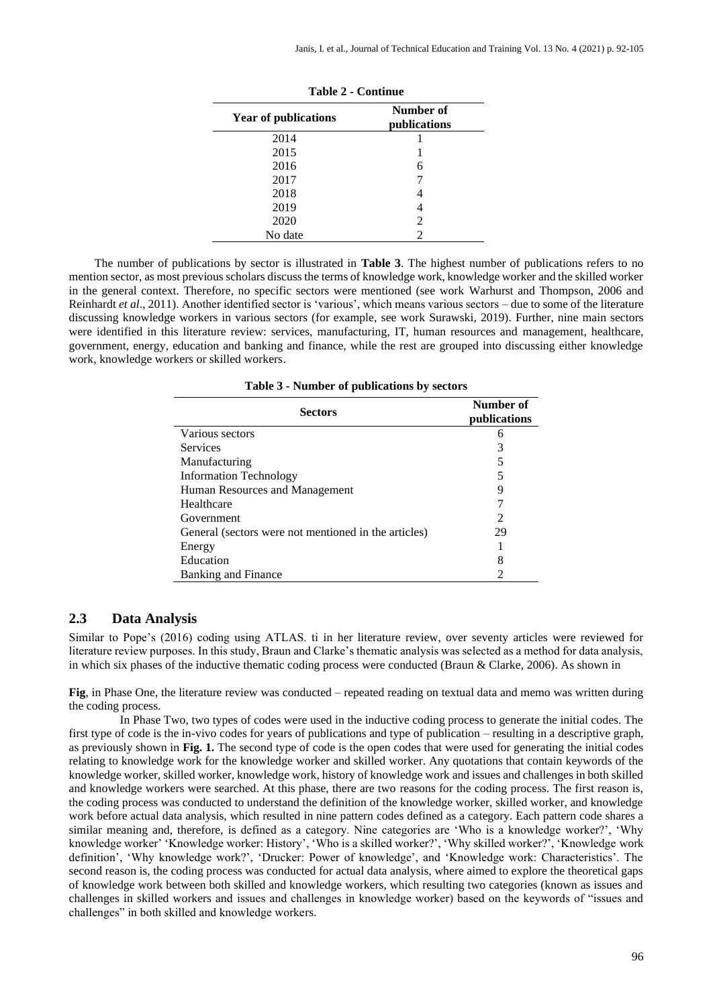| <b>Year of publications</b> | Number of<br>publications |
|-----------------------------|---------------------------|
| 2014                        |                           |
| 2015                        |                           |
| 2016                        | 6                         |
| 2017                        |                           |
| 2018                        |                           |
| 2019                        |                           |
| 2020                        | $\mathfrak{D}$            |
| No date                     | っ                         |

**Table 2 - Continue**

<span id="page-4-0"></span>The number of publications by sector is illustrated in **[Table 3](#page-4-0)**. The highest number of publications refers to no mention sector, as most previous scholars discuss the terms of knowledge work, knowledge worker and the skilled worker in the general context. Therefore, no specific sectors were mentioned (see work Warhurst and Thompson, 2006 and Reinhardt *et al*., 2011). Another identified sector is 'various', which means various sectors – due to some of the literature discussing knowledge workers in various sectors (for example, see work Surawski, 2019). Further, nine main sectors were identified in this literature review: services, manufacturing, IT, human resources and management, healthcare, government, energy, education and banking and finance, while the rest are grouped into discussing either knowledge work, knowledge workers or skilled workers.

| Table 3 - Number of publications by sectors |  |  |  |  |  |  |  |
|---------------------------------------------|--|--|--|--|--|--|--|
|---------------------------------------------|--|--|--|--|--|--|--|

| <b>Sectors</b>                                       | Number of<br>publications |
|------------------------------------------------------|---------------------------|
| Various sectors                                      | h                         |
| <b>Services</b>                                      |                           |
| Manufacturing                                        |                           |
| <b>Information Technology</b>                        |                           |
| Human Resources and Management                       | 9                         |
| Healthcare                                           |                           |
| Government                                           | $\mathfrak{D}$            |
| General (sectors were not mentioned in the articles) | 29                        |
| Energy                                               |                           |
| Education                                            | 8                         |
| <b>Banking and Finance</b>                           |                           |

#### **2.3 Data Analysis**

Similar to Pope's (2016) coding using ATLAS. ti in her literature review, over seventy articles were reviewed for literature review purposes. In this study, Braun and Clarke's thematic analysis was selected as a method for data analysis, in which six phases of the inductive thematic coding process were conducted (Braun & Clarke, 2006). As shown in

**[Fig](#page-5-0)**, in Phase One, the literature review was conducted – repeated reading on textual data and memo was written during the coding process.

In Phase Two, two types of codes were used in the inductive coding process to generate the initial codes. The first type of code is the in-vivo codes for years of publications and type of publication – resulting in a descriptive graph, as previously shown in **Fig. 1.** The second type of code is the open codes that were used for generating the initial codes relating to knowledge work for the knowledge worker and skilled worker. Any quotations that contain keywords of the knowledge worker, skilled worker, knowledge work, history of knowledge work and issues and challenges in both skilled and knowledge workers were searched. At this phase, there are two reasons for the coding process. The first reason is, the coding process was conducted to understand the definition of the knowledge worker, skilled worker, and knowledge work before actual data analysis, which resulted in nine pattern codes defined as a category. Each pattern code shares a similar meaning and, therefore, is defined as a category. Nine categories are 'Who is a knowledge worker?', 'Why knowledge worker' 'Knowledge worker: History', 'Who is a skilled worker?', 'Why skilled worker?', 'Knowledge work definition', 'Why knowledge work?', 'Drucker: Power of knowledge', and 'Knowledge work: Characteristics'. The second reason is, the coding process was conducted for actual data analysis, where aimed to explore the theoretical gaps of knowledge work between both skilled and knowledge workers, which resulting two categories (known as issues and challenges in skilled workers and issues and challenges in knowledge worker) based on the keywords of "issues and challenges" in both skilled and knowledge workers.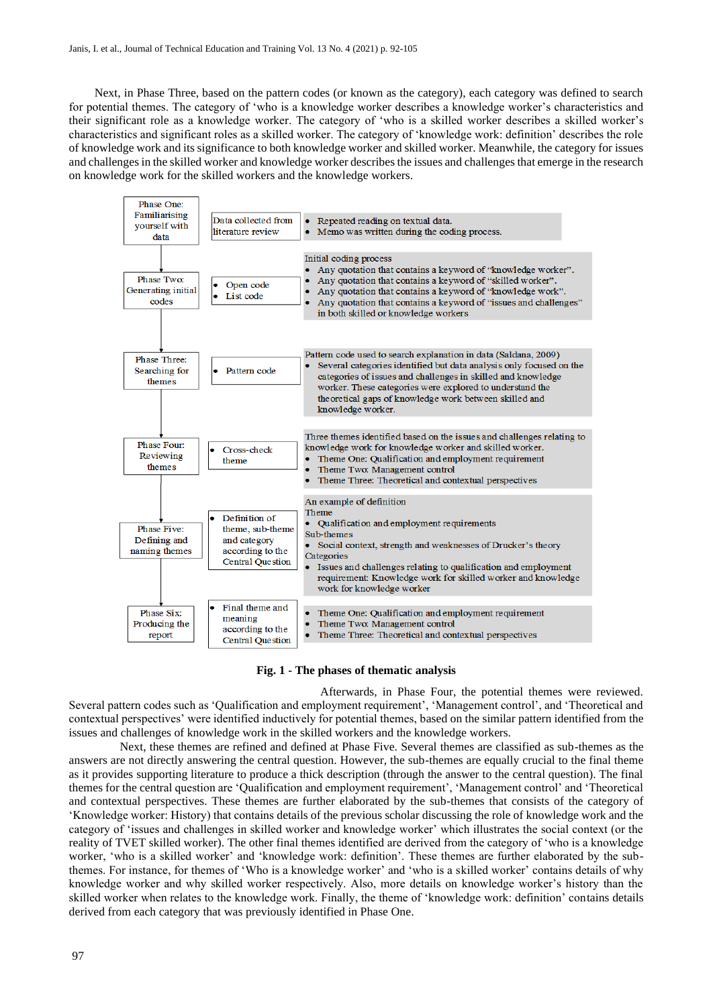Next, in Phase Three, based on the pattern codes (or known as the category), each category was defined to search for potential themes. The category of 'who is a knowledge worker describes a knowledge worker's characteristics and their significant role as a knowledge worker. The category of 'who is a skilled worker describes a skilled worker's characteristics and significant roles as a skilled worker. The category of 'knowledge work: definition' describes the role of knowledge work and its significance to both knowledge worker and skilled worker. Meanwhile, the category for issues and challenges in the skilled worker and knowledge worker describes the issues and challenges that emerge in the research on knowledge work for the skilled workers and the knowledge workers.

<span id="page-5-0"></span>

#### **Fig. 1 - The phases of thematic analysis**

Afterwards, in Phase Four, the potential themes were reviewed. Several pattern codes such as 'Qualification and employment requirement', 'Management control', and 'Theoretical and contextual perspectives' were identified inductively for potential themes, based on the similar pattern identified from the issues and challenges of knowledge work in the skilled workers and the knowledge workers.

Next, these themes are refined and defined at Phase Five. Several themes are classified as sub-themes as the answers are not directly answering the central question. However, the sub-themes are equally crucial to the final theme as it provides supporting literature to produce a thick description (through the answer to the central question). The final themes for the central question are 'Qualification and employment requirement', 'Management control' and 'Theoretical and contextual perspectives. These themes are further elaborated by the sub-themes that consists of the category of 'Knowledge worker: History) that contains details of the previous scholar discussing the role of knowledge work and the category of 'issues and challenges in skilled worker and knowledge worker' which illustrates the social context (or the reality of TVET skilled worker). The other final themes identified are derived from the category of 'who is a knowledge worker, 'who is a skilled worker' and 'knowledge work: definition'. These themes are further elaborated by the subthemes. For instance, for themes of 'Who is a knowledge worker' and 'who is a skilled worker' contains details of why knowledge worker and why skilled worker respectively. Also, more details on knowledge worker's history than the skilled worker when relates to the knowledge work. Finally, the theme of 'knowledge work: definition' contains details derived from each category that was previously identified in Phase One.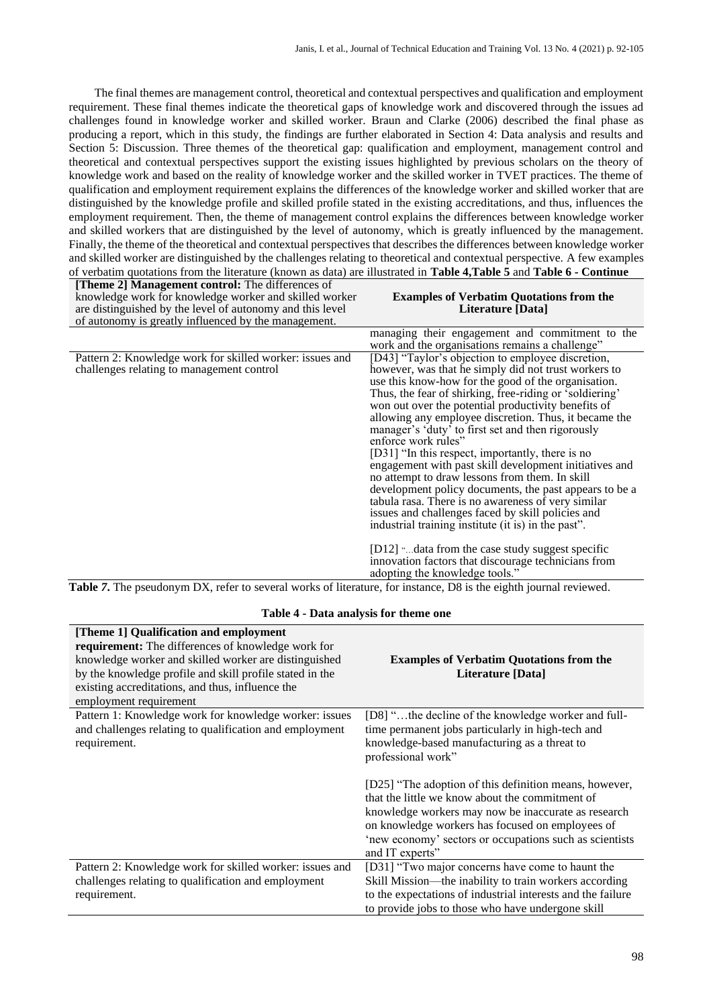The final themes are management control, theoretical and contextual perspectives and qualification and employment requirement. These final themes indicate the theoretical gaps of knowledge work and discovered through the issues ad challenges found in knowledge worker and skilled worker. Braun and Clarke (2006) described the final phase as producing a report, which in this study, the findings are further elaborated in Section 4: Data analysis and results and Section 5: Discussion. Three themes of the theoretical gap: qualification and employment, management control and theoretical and contextual perspectives support the existing issues highlighted by previous scholars on the theory of knowledge work and based on the reality of knowledge worker and the skilled worker in TVET practices. The theme of qualification and employment requirement explains the differences of the knowledge worker and skilled worker that are distinguished by the knowledge profile and skilled profile stated in the existing accreditations, and thus, influences the employment requirement. Then, the theme of management control explains the differences between knowledge worker and skilled workers that are distinguished by the level of autonomy, which is greatly influenced by the management. Finally, the theme of the theoretical and contextual perspectives that describes the differences between knowledge worker and skilled worker are distinguished by the challenges relating to theoretical and contextual perspective. A few examples of verbatim quotations from the literature (known as data) are illustrated in **[Table 4,](#page-6-0)[Table](#page-7-0) 5** and **Table 6 - [Continue](#page-7-1)**

| <b>[Theme 2] Management control:</b> The differences of<br>knowledge work for knowledge worker and skilled worker<br>are distinguished by the level of autonomy and this level<br>of autonomy is greatly influenced by the management. | <b>Examples of Verbatim Quotations from the</b><br>Literature [Data]                                                                                                                                                                                                                                                                                                                                                                                                                                                                                                                                                                                                                                                                                                                                                                                                                                                                                             |
|----------------------------------------------------------------------------------------------------------------------------------------------------------------------------------------------------------------------------------------|------------------------------------------------------------------------------------------------------------------------------------------------------------------------------------------------------------------------------------------------------------------------------------------------------------------------------------------------------------------------------------------------------------------------------------------------------------------------------------------------------------------------------------------------------------------------------------------------------------------------------------------------------------------------------------------------------------------------------------------------------------------------------------------------------------------------------------------------------------------------------------------------------------------------------------------------------------------|
|                                                                                                                                                                                                                                        | managing their engagement and commitment to the<br>work and the organisations remains a challenge"                                                                                                                                                                                                                                                                                                                                                                                                                                                                                                                                                                                                                                                                                                                                                                                                                                                               |
| Pattern 2: Knowledge work for skilled worker: issues and<br>challenges relating to management control                                                                                                                                  | [D43] "Taylor's objection to employee discretion,<br>however, was that he simply did not trust workers to<br>use this know-how for the good of the organisation.<br>Thus, the fear of shirking, free-riding or 'soldiering'<br>won out over the potential productivity benefits of<br>allowing any employee discretion. Thus, it became the<br>manager's 'duty' to first set and then rigorously<br>enforce work rules"<br>[D31] "In this respect, importantly, there is no<br>engagement with past skill development initiatives and<br>no attempt to draw lessons from them. In skill<br>development policy documents, the past appears to be a<br>tabula rasa. There is no awareness of very similar<br>issues and challenges faced by skill policies and<br>industrial training institute (it is) in the past".<br>[D12] "data from the case study suggest specific<br>innovation factors that discourage technicians from<br>adopting the knowledge tools." |

<span id="page-6-0"></span>**[Table](#page-7-1)** *7***.** The pseudonym DX, refer to several works of literature, for instance, D8 is the eighth journal reviewed.

| Table 4 - Data analysis for theme one                                                                                                                                                                                                                                                           |                                                                                                                                                                                                                                                                                                                                                                                                                                                                                      |  |
|-------------------------------------------------------------------------------------------------------------------------------------------------------------------------------------------------------------------------------------------------------------------------------------------------|--------------------------------------------------------------------------------------------------------------------------------------------------------------------------------------------------------------------------------------------------------------------------------------------------------------------------------------------------------------------------------------------------------------------------------------------------------------------------------------|--|
| [Theme 1] Qualification and employment<br>requirement: The differences of knowledge work for<br>knowledge worker and skilled worker are distinguished<br>by the knowledge profile and skill profile stated in the<br>existing accreditations, and thus, influence the<br>employment requirement | <b>Examples of Verbatim Quotations from the</b><br>Literature [Data]                                                                                                                                                                                                                                                                                                                                                                                                                 |  |
| Pattern 1: Knowledge work for knowledge worker: issues<br>and challenges relating to qualification and employment<br>requirement.                                                                                                                                                               | [D8] "the decline of the knowledge worker and full-<br>time permanent jobs particularly in high-tech and<br>knowledge-based manufacturing as a threat to<br>professional work"<br>[D25] "The adoption of this definition means, however,<br>that the little we know about the commitment of<br>knowledge workers may now be inaccurate as research<br>on knowledge workers has focused on employees of<br>'new economy' sectors or occupations such as scientists<br>and IT experts" |  |
| Pattern 2: Knowledge work for skilled worker: issues and<br>challenges relating to qualification and employment<br>requirement.                                                                                                                                                                 | [D31] "Two major concerns have come to haunt the<br>Skill Mission—the inability to train workers according<br>to the expectations of industrial interests and the failure<br>to provide jobs to those who have undergone skill                                                                                                                                                                                                                                                       |  |

**Table 4 - Data analysis for theme one**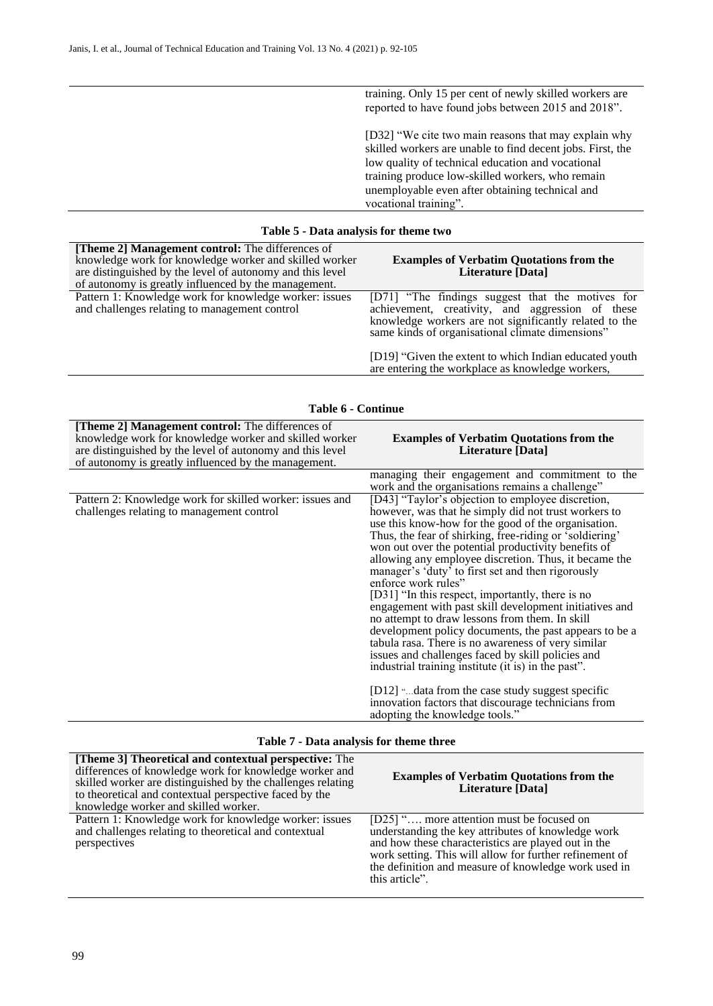training. Only 15 per cent of newly skilled workers are reported to have found jobs between 2015 and 2018".

[D32] "We cite two main reasons that may explain why skilled workers are unable to find decent jobs. First, the low quality of technical education and vocational training produce low-skilled workers, who remain unemployable even after obtaining technical and vocational training".

#### **Table 5 - Data analysis for theme two**

<span id="page-7-0"></span>

| [Theme 2] Management control: The differences of<br>knowledge work for knowledge worker and skilled worker<br>are distinguished by the level of autonomy and this level<br>of autonomy is greatly influenced by the management. | <b>Examples of Verbatim Quotations from the</b><br>Literature [Data]                                                                                                                                               |
|---------------------------------------------------------------------------------------------------------------------------------------------------------------------------------------------------------------------------------|--------------------------------------------------------------------------------------------------------------------------------------------------------------------------------------------------------------------|
| Pattern 1: Knowledge work for knowledge worker: issues<br>and challenges relating to management control                                                                                                                         | [D71] "The findings suggest that the motives for<br>achievement, creativity, and aggression of these<br>knowledge workers are not significantly related to the<br>same kinds of organisational climate dimensions" |
|                                                                                                                                                                                                                                 | [D19] "Given the extent to which Indian educated youth<br>are entering the workplace as knowledge workers,                                                                                                         |

<span id="page-7-1"></span>

| [Theme 2] Management control: The differences of<br>knowledge work for knowledge worker and skilled worker<br>are distinguished by the level of autonomy and this level<br>of autonomy is greatly influenced by the management. | <b>Examples of Verbatim Quotations from the</b><br>Literature [Data]                                                                                                                                                                                                                                                                                                                                                                                                                                                                                                                                                                                                                                                                                                                                                                                                                                                                                                |
|---------------------------------------------------------------------------------------------------------------------------------------------------------------------------------------------------------------------------------|---------------------------------------------------------------------------------------------------------------------------------------------------------------------------------------------------------------------------------------------------------------------------------------------------------------------------------------------------------------------------------------------------------------------------------------------------------------------------------------------------------------------------------------------------------------------------------------------------------------------------------------------------------------------------------------------------------------------------------------------------------------------------------------------------------------------------------------------------------------------------------------------------------------------------------------------------------------------|
|                                                                                                                                                                                                                                 | managing their engagement and commitment to the<br>work and the organisations remains a challenge"                                                                                                                                                                                                                                                                                                                                                                                                                                                                                                                                                                                                                                                                                                                                                                                                                                                                  |
| Pattern 2: Knowledge work for skilled worker: issues and<br>challenges relating to management control                                                                                                                           | [D43] "Taylor's objection to employee discretion,<br>however, was that he simply did not trust workers to<br>use this know-how for the good of the organisation.<br>Thus, the fear of shirking, free-riding or 'soldiering'<br>won out over the potential productivity benefits of<br>allowing any employee discretion. Thus, it became the<br>manager's 'duty' to first set and then rigorously<br>enforce work rules"<br>[D31] "In this respect, importantly, there is no<br>engagement with past skill development initiatives and<br>no attempt to draw lessons from them. In skill<br>development policy documents, the past appears to be a<br>tabula rasa. There is no awareness of very similar<br>issues and challenges faced by skill policies and<br>industrial training institute (it is) in the past".<br>$[D12]$ " data from the case study suggest specific<br>innovation factors that discourage technicians from<br>adopting the knowledge tools." |

### **Table 7 - Data analysis for theme three**

| [Theme 3] Theoretical and contextual perspective: The<br>differences of knowledge work for knowledge worker and<br>skilled worker are distinguished by the challenges relating<br>to theoretical and contextual perspective faced by the<br>knowledge worker and skilled worker. | <b>Examples of Verbatim Quotations from the</b><br>Literature [Data]                                                                                                                                                                                                                        |
|----------------------------------------------------------------------------------------------------------------------------------------------------------------------------------------------------------------------------------------------------------------------------------|---------------------------------------------------------------------------------------------------------------------------------------------------------------------------------------------------------------------------------------------------------------------------------------------|
| Pattern 1: Knowledge work for knowledge worker: issues<br>and challenges relating to theoretical and contextual<br>perspectives                                                                                                                                                  | [D25] " more attention must be focused on<br>understanding the key attributes of knowledge work<br>and how these characteristics are played out in the<br>work setting. This will allow for further refinement of<br>the definition and measure of knowledge work used in<br>this article". |

#### **Table 6 - Continue**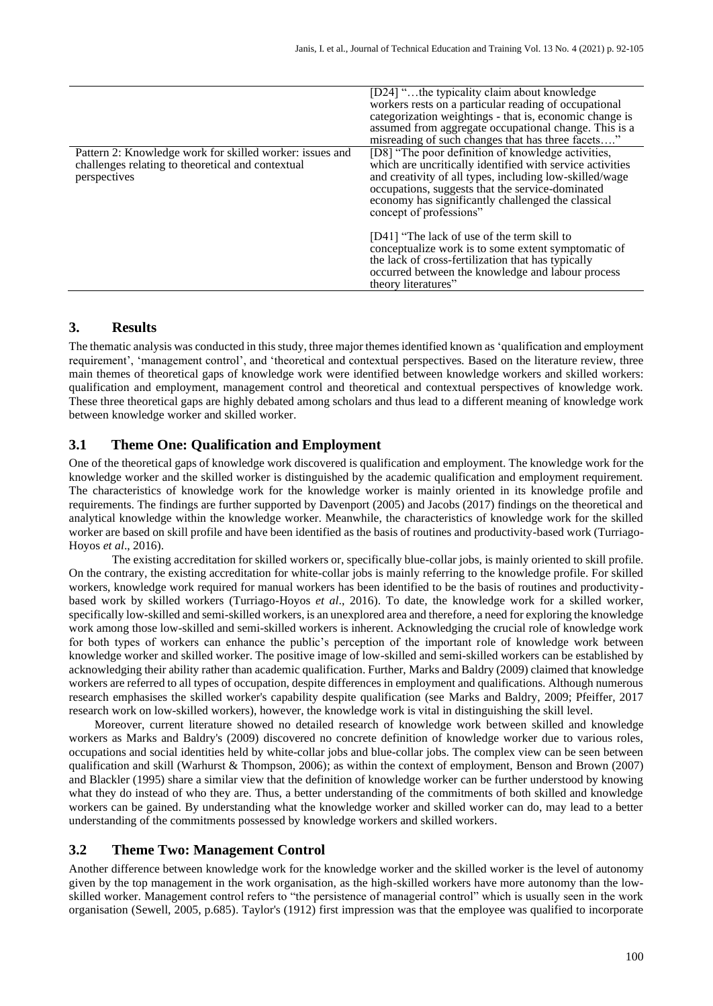|                                                                                                                               | [D24] "the typicality claim about knowledge<br>workers rests on a particular reading of occupational<br>categorization weightings - that is, economic change is<br>assumed from aggregate occupational change. This is a<br>misreading of such changes that has three facets"                                   |
|-------------------------------------------------------------------------------------------------------------------------------|-----------------------------------------------------------------------------------------------------------------------------------------------------------------------------------------------------------------------------------------------------------------------------------------------------------------|
| Pattern 2: Knowledge work for skilled worker: issues and<br>challenges relating to theoretical and contextual<br>perspectives | [D8] "The poor definition of knowledge activities,<br>which are uncritically identified with service activities<br>and creativity of all types, including low-skilled/wage<br>occupations, suggests that the service-dominated<br>economy has significantly challenged the classical<br>concept of professions" |
|                                                                                                                               | [D41] "The lack of use of the term skill to<br>conceptualize work is to some extent symptomatic of<br>the lack of cross-fertilization that has typically<br>occurred between the knowledge and labour process<br>theory literatures"                                                                            |

### **3. Results**

The thematic analysis was conducted in this study, three major themes identified known as 'qualification and employment requirement', 'management control', and 'theoretical and contextual perspectives*.* Based on the literature review, three main themes of theoretical gaps of knowledge work were identified between knowledge workers and skilled workers: qualification and employment, management control and theoretical and contextual perspectives of knowledge work. These three theoretical gaps are highly debated among scholars and thus lead to a different meaning of knowledge work between knowledge worker and skilled worker.

### **3.1 Theme One: Qualification and Employment**

One of the theoretical gaps of knowledge work discovered is qualification and employment. The knowledge work for the knowledge worker and the skilled worker is distinguished by the academic qualification and employment requirement. The characteristics of knowledge work for the knowledge worker is mainly oriented in its knowledge profile and requirements. The findings are further supported by Davenport (2005) and Jacobs (2017) findings on the theoretical and analytical knowledge within the knowledge worker. Meanwhile, the characteristics of knowledge work for the skilled worker are based on skill profile and have been identified as the basis of routines and productivity-based work (Turriago-Hoyos *et al*., 2016).

The existing accreditation for skilled workers or, specifically blue-collar jobs, is mainly oriented to skill profile. On the contrary, the existing accreditation for white-collar jobs is mainly referring to the knowledge profile. For skilled workers, knowledge work required for manual workers has been identified to be the basis of routines and productivitybased work by skilled workers (Turriago-Hoyos *et al*., 2016). To date, the knowledge work for a skilled worker, specifically low-skilled and semi-skilled workers, is an unexplored area and therefore, a need for exploring the knowledge work among those low-skilled and semi-skilled workers is inherent. Acknowledging the crucial role of knowledge work for both types of workers can enhance the public's perception of the important role of knowledge work between knowledge worker and skilled worker. The positive image of low-skilled and semi-skilled workers can be established by acknowledging their ability rather than academic qualification. Further, Marks and Baldry (2009) claimed that knowledge workers are referred to all types of occupation, despite differences in employment and qualifications. Although numerous research emphasises the skilled worker's capability despite qualification (see Marks and Baldry, 2009; Pfeiffer, 2017 research work on low-skilled workers), however, the knowledge work is vital in distinguishing the skill level.

Moreover, current literature showed no detailed research of knowledge work between skilled and knowledge workers as Marks and Baldry's (2009) discovered no concrete definition of knowledge worker due to various roles, occupations and social identities held by white-collar jobs and blue-collar jobs. The complex view can be seen between qualification and skill (Warhurst & Thompson, 2006); as within the context of employment, Benson and Brown (2007) and Blackler (1995) share a similar view that the definition of knowledge worker can be further understood by knowing what they do instead of who they are. Thus, a better understanding of the commitments of both skilled and knowledge workers can be gained. By understanding what the knowledge worker and skilled worker can do, may lead to a better understanding of the commitments possessed by knowledge workers and skilled workers.

#### **3.2 Theme Two: Management Control**

Another difference between knowledge work for the knowledge worker and the skilled worker is the level of autonomy given by the top management in the work organisation, as the high-skilled workers have more autonomy than the lowskilled worker. Management control refers to "the persistence of managerial control" which is usually seen in the work organisation (Sewell, 2005, p.685). Taylor's (1912) first impression was that the employee was qualified to incorporate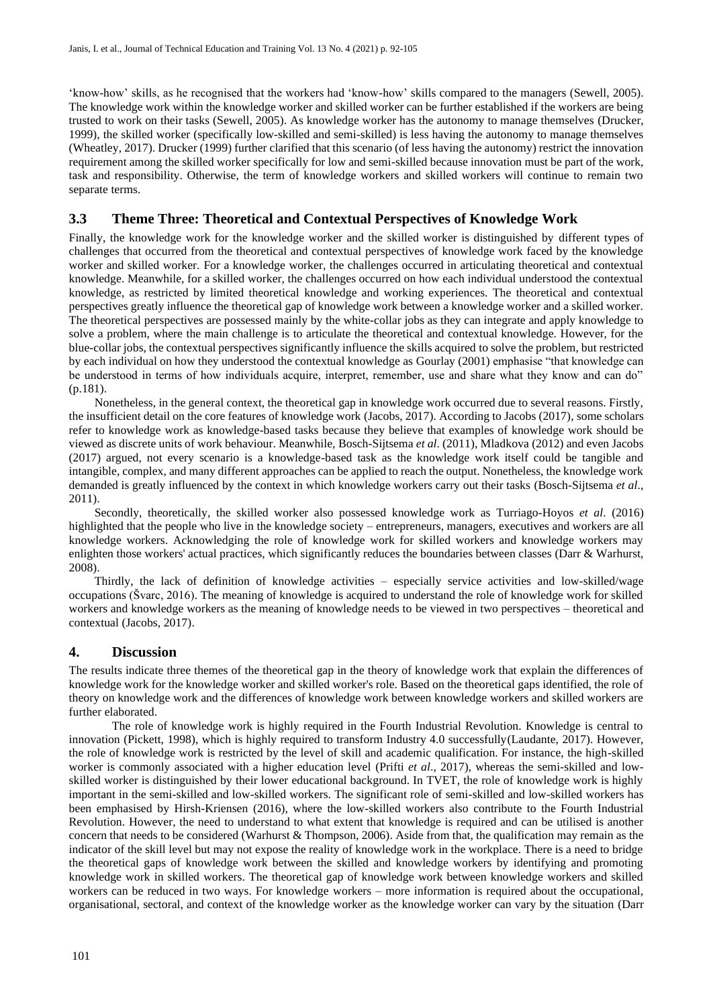'know-how' skills, as he recognised that the workers had 'know-how' skills compared to the managers (Sewell, 2005). The knowledge work within the knowledge worker and skilled worker can be further established if the workers are being trusted to work on their tasks (Sewell, 2005). As knowledge worker has the autonomy to manage themselves (Drucker, 1999), the skilled worker (specifically low-skilled and semi-skilled) is less having the autonomy to manage themselves (Wheatley, 2017). Drucker (1999) further clarified that this scenario (of less having the autonomy) restrict the innovation requirement among the skilled worker specifically for low and semi-skilled because innovation must be part of the work, task and responsibility. Otherwise, the term of knowledge workers and skilled workers will continue to remain two separate terms.

### **3.3 Theme Three: Theoretical and Contextual Perspectives of Knowledge Work**

Finally, the knowledge work for the knowledge worker and the skilled worker is distinguished by different types of challenges that occurred from the theoretical and contextual perspectives of knowledge work faced by the knowledge worker and skilled worker. For a knowledge worker, the challenges occurred in articulating theoretical and contextual knowledge. Meanwhile, for a skilled worker, the challenges occurred on how each individual understood the contextual knowledge, as restricted by limited theoretical knowledge and working experiences. The theoretical and contextual perspectives greatly influence the theoretical gap of knowledge work between a knowledge worker and a skilled worker. The theoretical perspectives are possessed mainly by the white-collar jobs as they can integrate and apply knowledge to solve a problem, where the main challenge is to articulate the theoretical and contextual knowledge. However, for the blue-collar jobs, the contextual perspectives significantly influence the skills acquired to solve the problem, but restricted by each individual on how they understood the contextual knowledge as Gourlay (2001) emphasise "that knowledge can be understood in terms of how individuals acquire, interpret, remember, use and share what they know and can do" (p.181).

Nonetheless, in the general context, the theoretical gap in knowledge work occurred due to several reasons. Firstly, the insufficient detail on the core features of knowledge work (Jacobs, 2017). According to Jacobs (2017), some scholars refer to knowledge work as knowledge-based tasks because they believe that examples of knowledge work should be viewed as discrete units of work behaviour. Meanwhile, Bosch-Sijtsema *et al*. (2011), Mladkova (2012) and even Jacobs (2017) argued, not every scenario is a knowledge-based task as the knowledge work itself could be tangible and intangible, complex, and many different approaches can be applied to reach the output. Nonetheless, the knowledge work demanded is greatly influenced by the context in which knowledge workers carry out their tasks (Bosch-Sijtsema *et al*., 2011).

Secondly, theoretically, the skilled worker also possessed knowledge work as Turriago-Hoyos *et al*. (2016) highlighted that the people who live in the knowledge society – entrepreneurs, managers, executives and workers are all knowledge workers. Acknowledging the role of knowledge work for skilled workers and knowledge workers may enlighten those workers' actual practices, which significantly reduces the boundaries between classes (Darr & Warhurst, 2008).

Thirdly, the lack of definition of knowledge activities – especially service activities and low-skilled/wage occupations (Švarc, 2016). The meaning of knowledge is acquired to understand the role of knowledge work for skilled workers and knowledge workers as the meaning of knowledge needs to be viewed in two perspectives – theoretical and contextual (Jacobs, 2017).

#### **4. Discussion**

The results indicate three themes of the theoretical gap in the theory of knowledge work that explain the differences of knowledge work for the knowledge worker and skilled worker's role. Based on the theoretical gaps identified, the role of theory on knowledge work and the differences of knowledge work between knowledge workers and skilled workers are further elaborated.

The role of knowledge work is highly required in the Fourth Industrial Revolution. Knowledge is central to innovation (Pickett, 1998), which is highly required to transform Industry 4.0 successfully(Laudante, 2017). However, the role of knowledge work is restricted by the level of skill and academic qualification. For instance, the high-skilled worker is commonly associated with a higher education level (Prifti *et al*., 2017), whereas the semi-skilled and lowskilled worker is distinguished by their lower educational background. In TVET, the role of knowledge work is highly important in the semi-skilled and low-skilled workers. The significant role of semi-skilled and low-skilled workers has been emphasised by Hirsh-Kriensen (2016), where the low-skilled workers also contribute to the Fourth Industrial Revolution. However, the need to understand to what extent that knowledge is required and can be utilised is another concern that needs to be considered (Warhurst & Thompson, 2006). Aside from that, the qualification may remain as the indicator of the skill level but may not expose the reality of knowledge work in the workplace. There is a need to bridge the theoretical gaps of knowledge work between the skilled and knowledge workers by identifying and promoting knowledge work in skilled workers. The theoretical gap of knowledge work between knowledge workers and skilled workers can be reduced in two ways. For knowledge workers – more information is required about the occupational, organisational, sectoral, and context of the knowledge worker as the knowledge worker can vary by the situation (Darr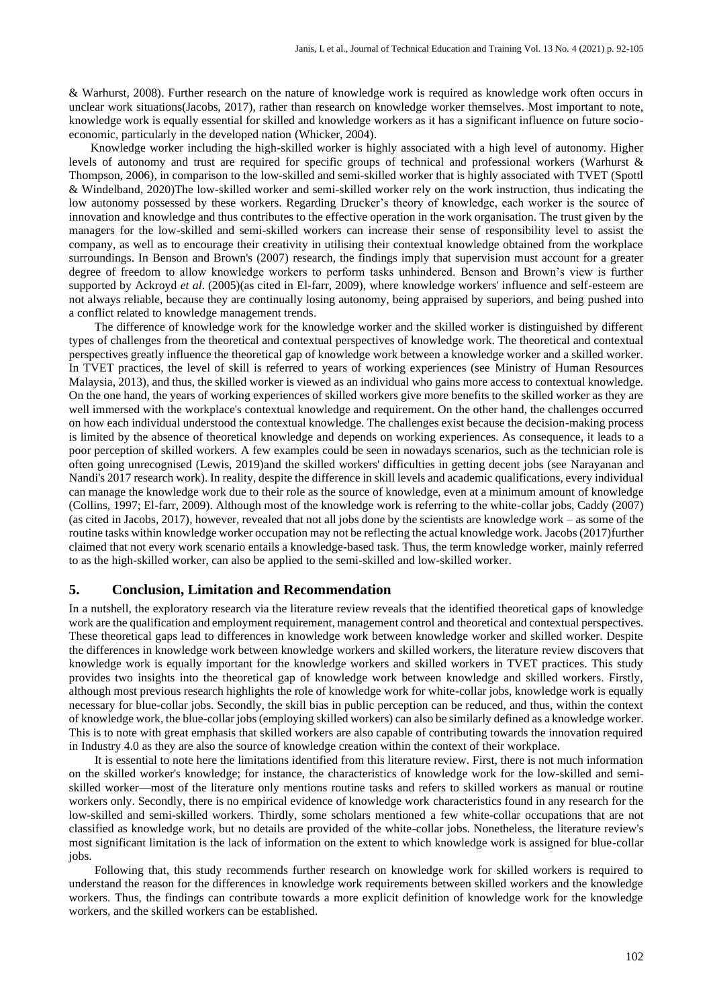& Warhurst, 2008). Further research on the nature of knowledge work is required as knowledge work often occurs in unclear work situations(Jacobs, 2017), rather than research on knowledge worker themselves. Most important to note, knowledge work is equally essential for skilled and knowledge workers as it has a significant influence on future socioeconomic, particularly in the developed nation (Whicker, 2004).

Knowledge worker including the high-skilled worker is highly associated with a high level of autonomy. Higher levels of autonomy and trust are required for specific groups of technical and professional workers (Warhurst & Thompson, 2006), in comparison to the low-skilled and semi-skilled worker that is highly associated with TVET (Spottl & Windelband, 2020)The low-skilled worker and semi-skilled worker rely on the work instruction, thus indicating the low autonomy possessed by these workers. Regarding Drucker's theory of knowledge, each worker is the source of innovation and knowledge and thus contributes to the effective operation in the work organisation. The trust given by the managers for the low-skilled and semi-skilled workers can increase their sense of responsibility level to assist the company, as well as to encourage their creativity in utilising their contextual knowledge obtained from the workplace surroundings. In Benson and Brown's (2007) research, the findings imply that supervision must account for a greater degree of freedom to allow knowledge workers to perform tasks unhindered. Benson and Brown's view is further supported by Ackroyd *et al*. (2005)(as cited in El-farr, 2009), where knowledge workers' influence and self-esteem are not always reliable, because they are continually losing autonomy, being appraised by superiors, and being pushed into a conflict related to knowledge management trends.

The difference of knowledge work for the knowledge worker and the skilled worker is distinguished by different types of challenges from the theoretical and contextual perspectives of knowledge work. The theoretical and contextual perspectives greatly influence the theoretical gap of knowledge work between a knowledge worker and a skilled worker. In TVET practices, the level of skill is referred to years of working experiences (see Ministry of Human Resources Malaysia, 2013), and thus, the skilled worker is viewed as an individual who gains more access to contextual knowledge. On the one hand, the years of working experiences of skilled workers give more benefits to the skilled worker as they are well immersed with the workplace's contextual knowledge and requirement. On the other hand, the challenges occurred on how each individual understood the contextual knowledge. The challenges exist because the decision-making process is limited by the absence of theoretical knowledge and depends on working experiences. As consequence, it leads to a poor perception of skilled workers. A few examples could be seen in nowadays scenarios, such as the technician role is often going unrecognised (Lewis, 2019)and the skilled workers' difficulties in getting decent jobs (see Narayanan and Nandi's 2017 research work). In reality, despite the difference in skill levels and academic qualifications, every individual can manage the knowledge work due to their role as the source of knowledge, even at a minimum amount of knowledge (Collins, 1997; El-farr, 2009). Although most of the knowledge work is referring to the white-collar jobs, Caddy (2007) (as cited in Jacobs, 2017), however, revealed that not all jobs done by the scientists are knowledge work – as some of the routine tasks within knowledge worker occupation may not be reflecting the actual knowledge work. Jacobs (2017)further claimed that not every work scenario entails a knowledge-based task. Thus, the term knowledge worker, mainly referred to as the high-skilled worker, can also be applied to the semi-skilled and low-skilled worker.

#### **5. Conclusion, Limitation and Recommendation**

In a nutshell, the exploratory research via the literature review reveals that the identified theoretical gaps of knowledge work are the qualification and employment requirement, management control and theoretical and contextual perspectives. These theoretical gaps lead to differences in knowledge work between knowledge worker and skilled worker. Despite the differences in knowledge work between knowledge workers and skilled workers, the literature review discovers that knowledge work is equally important for the knowledge workers and skilled workers in TVET practices. This study provides two insights into the theoretical gap of knowledge work between knowledge and skilled workers. Firstly, although most previous research highlights the role of knowledge work for white-collar jobs, knowledge work is equally necessary for blue-collar jobs. Secondly, the skill bias in public perception can be reduced, and thus, within the context of knowledge work, the blue-collar jobs (employing skilled workers) can also be similarly defined as a knowledge worker. This is to note with great emphasis that skilled workers are also capable of contributing towards the innovation required in Industry 4.0 as they are also the source of knowledge creation within the context of their workplace.

It is essential to note here the limitations identified from this literature review. First, there is not much information on the skilled worker's knowledge; for instance, the characteristics of knowledge work for the low-skilled and semiskilled worker—most of the literature only mentions routine tasks and refers to skilled workers as manual or routine workers only. Secondly, there is no empirical evidence of knowledge work characteristics found in any research for the low-skilled and semi-skilled workers. Thirdly, some scholars mentioned a few white-collar occupations that are not classified as knowledge work, but no details are provided of the white-collar jobs. Nonetheless, the literature review's most significant limitation is the lack of information on the extent to which knowledge work is assigned for blue-collar jobs.

Following that, this study recommends further research on knowledge work for skilled workers is required to understand the reason for the differences in knowledge work requirements between skilled workers and the knowledge workers. Thus, the findings can contribute towards a more explicit definition of knowledge work for the knowledge workers, and the skilled workers can be established.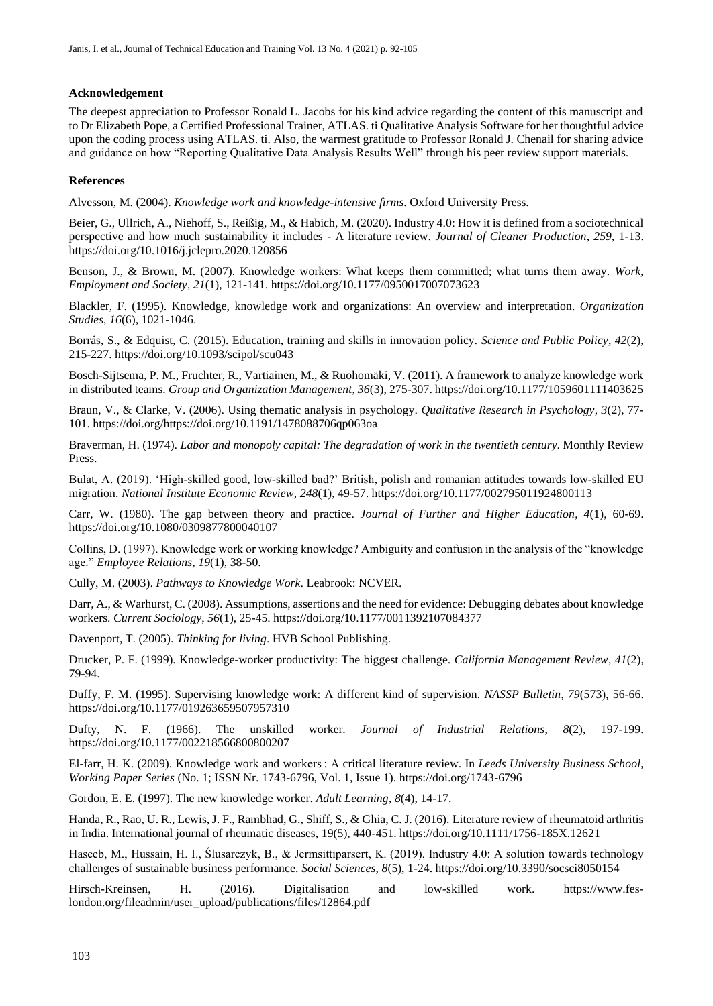#### **Acknowledgement**

The deepest appreciation to Professor Ronald L. Jacobs for his kind advice regarding the content of this manuscript and to Dr Elizabeth Pope, a Certified Professional Trainer, ATLAS. ti Qualitative Analysis Software for her thoughtful advice upon the coding process using ATLAS. ti. Also, the warmest gratitude to Professor Ronald J. Chenail for sharing advice and guidance on how "Reporting Qualitative Data Analysis Results Well" through his peer review support materials.

#### **References**

Alvesson, M. (2004). *Knowledge work and knowledge-intensive firms*. Oxford University Press.

Beier, G., Ullrich, A., Niehoff, S., Reißig, M., & Habich, M. (2020). Industry 4.0: How it is defined from a sociotechnical perspective and how much sustainability it includes - A literature review. *Journal of Cleaner Production*, *259*, 1-13. https://doi.org/10.1016/j.jclepro.2020.120856

Benson, J., & Brown, M. (2007). Knowledge workers: What keeps them committed; what turns them away. *Work, Employment and Society*, *21*(1), 121-141. https://doi.org/10.1177/0950017007073623

Blackler, F. (1995). Knowledge, knowledge work and organizations: An overview and interpretation. *Organization Studies*, *16*(6), 1021-1046.

Borrás, S., & Edquist, C. (2015). Education, training and skills in innovation policy. *Science and Public Policy*, *42*(2), 215-227. https://doi.org/10.1093/scipol/scu043

Bosch-Sijtsema, P. M., Fruchter, R., Vartiainen, M., & Ruohomäki, V. (2011). A framework to analyze knowledge work in distributed teams. *Group and Organization Management*, *36*(3), 275-307. https://doi.org/10.1177/1059601111403625

Braun, V., & Clarke, V. (2006). Using thematic analysis in psychology. *Qualitative Research in Psychology*, *3*(2), 77- 101. https://doi.org/https://doi.org/10.1191/1478088706qp063oa

Braverman, H. (1974). *Labor and monopoly capital: The degradation of work in the twentieth century*. Monthly Review Press.

Bulat, A. (2019). 'High-skilled good, low-skilled bad?' British, polish and romanian attitudes towards low-skilled EU migration. *National Institute Economic Review*, *248*(1), 49-57. https://doi.org/10.1177/002795011924800113

Carr, W. (1980). The gap between theory and practice. *Journal of Further and Higher Education*, *4*(1), 60-69. https://doi.org/10.1080/0309877800040107

Collins, D. (1997). Knowledge work or working knowledge? Ambiguity and confusion in the analysis of the "knowledge age." *Employee Relations*, *19*(1), 38-50.

Cully, M. (2003). *Pathways to Knowledge Work*. Leabrook: NCVER.

Darr, A., & Warhurst, C. (2008). Assumptions, assertions and the need for evidence: Debugging debates about knowledge workers. *Current Sociology*, *56*(1), 25-45. https://doi.org/10.1177/0011392107084377

Davenport, T. (2005). *Thinking for living*. HVB School Publishing.

Drucker, P. F. (1999). Knowledge-worker productivity: The biggest challenge. *California Management Review*, *41*(2), 79-94.

Duffy, F. M. (1995). Supervising knowledge work: A different kind of supervision. *NASSP Bulletin*, *79*(573), 56-66. https://doi.org/10.1177/019263659507957310

Dufty, N. F. (1966). The unskilled worker. *Journal of Industrial Relations*, *8*(2), 197-199. https://doi.org/10.1177/002218566800800207

El-farr, H. K. (2009). Knowledge work and workers : A critical literature review. In *Leeds University Business School, Working Paper Series* (No. 1; ISSN Nr. 1743-6796, Vol. 1, Issue 1). https://doi.org/1743-6796

Gordon, E. E. (1997). The new knowledge worker. *Adult Learning*, *8*(4), 14-17.

Handa, R., Rao, U. R., Lewis, J. F., Rambhad, G., Shiff, S., & Ghia, C. J. (2016). Literature review of rheumatoid arthritis in India. International journal of rheumatic diseases, 19(5), 440-451. https://doi.org/10.1111/1756-185X.12621

Haseeb, M., Hussain, H. I., Ślusarczyk, B., & Jermsittiparsert, K. (2019). Industry 4.0: A solution towards technology challenges of sustainable business performance. *Social Sciences*, *8*(5), 1-24. https://doi.org/10.3390/socsci8050154

Hirsch-Kreinsen, H. (2016). Digitalisation and low-skilled work. https://www.feslondon.org/fileadmin/user\_upload/publications/files/12864.pdf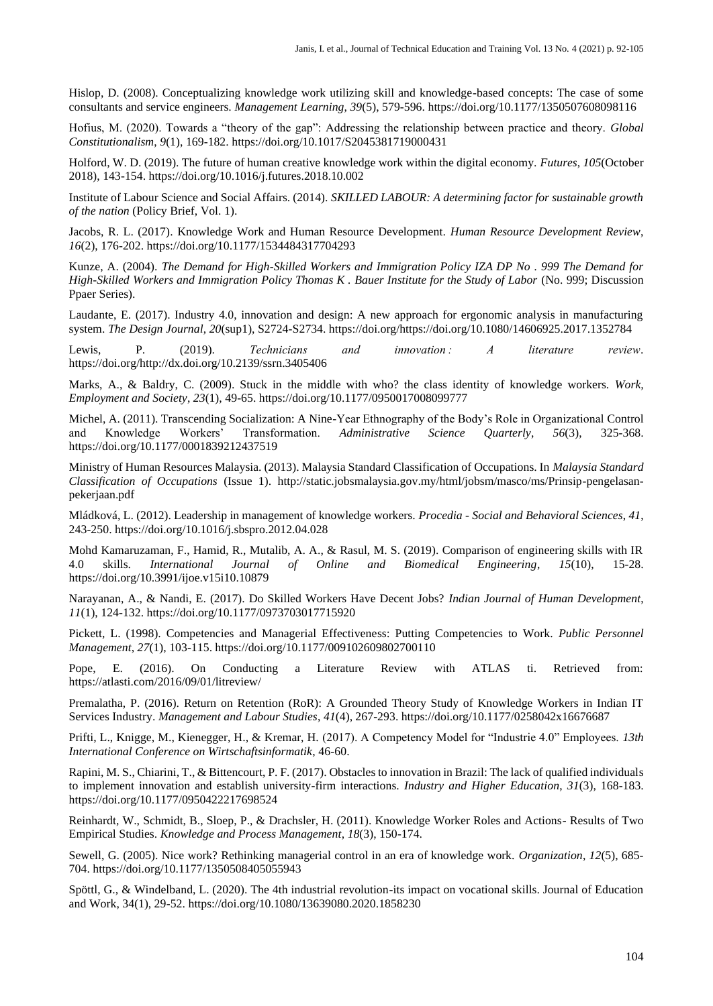Hislop, D. (2008). Conceptualizing knowledge work utilizing skill and knowledge-based concepts: The case of some consultants and service engineers. *Management Learning*, *39*(5), 579-596. https://doi.org/10.1177/1350507608098116

Hofius, M. (2020). Towards a "theory of the gap": Addressing the relationship between practice and theory. *Global Constitutionalism*, *9*(1), 169-182. https://doi.org/10.1017/S2045381719000431

Holford, W. D. (2019). The future of human creative knowledge work within the digital economy. *Futures*, *105*(October 2018), 143-154. https://doi.org/10.1016/j.futures.2018.10.002

Institute of Labour Science and Social Affairs. (2014). *SKILLED LABOUR: A determining factor for sustainable growth of the nation* (Policy Brief, Vol. 1).

Jacobs, R. L. (2017). Knowledge Work and Human Resource Development. *Human Resource Development Review*, *16*(2), 176-202. https://doi.org/10.1177/1534484317704293

Kunze, A. (2004). *The Demand for High-Skilled Workers and Immigration Policy IZA DP No . 999 The Demand for High-Skilled Workers and Immigration Policy Thomas K . Bauer Institute for the Study of Labor* (No. 999; Discussion Ppaer Series).

Laudante, E. (2017). Industry 4.0, innovation and design: A new approach for ergonomic analysis in manufacturing system. *The Design Journal*, *20*(sup1), S2724-S2734. https://doi.org/https://doi.org/10.1080/14606925.2017.1352784

Lewis, P. (2019). *Technicians and innovation : A literature review*. https://doi.org/http://dx.doi.org/10.2139/ssrn.3405406

Marks, A., & Baldry, C. (2009). Stuck in the middle with who? the class identity of knowledge workers. *Work, Employment and Society*, *23*(1), 49-65. https://doi.org/10.1177/0950017008099777

Michel, A. (2011). Transcending Socialization: A Nine-Year Ethnography of the Body's Role in Organizational Control and Knowledge Workers' Transformation. *Administrative Science Quarterly*, *56*(3), 325-368. https://doi.org/10.1177/0001839212437519

Ministry of Human Resources Malaysia. (2013). Malaysia Standard Classification of Occupations. In *Malaysia Standard Classification of Occupations* (Issue 1). http://static.jobsmalaysia.gov.my/html/jobsm/masco/ms/Prinsip-pengelasanpekerjaan.pdf

Mládková, L. (2012). Leadership in management of knowledge workers. *Procedia - Social and Behavioral Sciences*, *41*, 243-250. https://doi.org/10.1016/j.sbspro.2012.04.028

Mohd Kamaruzaman, F., Hamid, R., Mutalib, A. A., & Rasul, M. S. (2019). Comparison of engineering skills with IR 4.0 skills. *International Journal of Online and Biomedical Engineering*, *15*(10), 15-28. https://doi.org/10.3991/ijoe.v15i10.10879

Narayanan, A., & Nandi, E. (2017). Do Skilled Workers Have Decent Jobs? *Indian Journal of Human Development*, *11*(1), 124-132. https://doi.org/10.1177/0973703017715920

Pickett, L. (1998). Competencies and Managerial Effectiveness: Putting Competencies to Work. *Public Personnel Management*, *27*(1), 103-115. https://doi.org/10.1177/009102609802700110

Pope, E. (2016). On Conducting a Literature Review with ATLAS ti. Retrieved from: https://atlasti.com/2016/09/01/litreview/

Premalatha, P. (2016). Return on Retention (RoR): A Grounded Theory Study of Knowledge Workers in Indian IT Services Industry. *Management and Labour Studies*, *41*(4), 267-293. https://doi.org/10.1177/0258042x16676687

Prifti, L., Knigge, M., Kienegger, H., & Kremar, H. (2017). A Competency Model for "Industrie 4.0" Employees. *13th International Conference on Wirtschaftsinformatik*, 46-60.

Rapini, M. S., Chiarini, T., & Bittencourt, P. F. (2017). Obstacles to innovation in Brazil: The lack of qualified individuals to implement innovation and establish university-firm interactions. *Industry and Higher Education*, *31*(3), 168-183. https://doi.org/10.1177/0950422217698524

Reinhardt, W., Schmidt, B., Sloep, P., & Drachsler, H. (2011). Knowledge Worker Roles and Actions- Results of Two Empirical Studies. *Knowledge and Process Management*, *18*(3), 150-174.

Sewell, G. (2005). Nice work? Rethinking managerial control in an era of knowledge work. *Organization*, *12*(5), 685- 704. https://doi.org/10.1177/1350508405055943

Spöttl, G., & Windelband, L. (2020). The 4th industrial revolution-its impact on vocational skills. Journal of Education and Work, 34(1), 29-52. https://doi.org/10.1080/13639080.2020.1858230